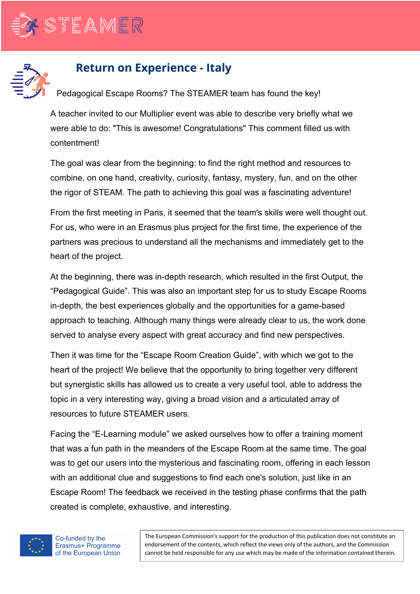



## **Return on Experience - Italy**

Pedagogical Escape Rooms? The STEAMER team has found the key!

A teacher invited to our Multiplier event was able to describe very briefly what we were able to do: "This is awesome! Congratulations" This comment filled us with contentment!

The goal was clear from the beginning: to find the right method and resources to combine, on one hand, creativity, curiosity, fantasy, mystery, fun, and on the other the rigor of STEAM. The path to achieving this goal was a fascinating adventure!

From the first meeting in Paris, it seemed that the team's skills were well thought out. For us, who were in an Erasmus plus project for the first time, the experience of the partners was precious to understand all the mechanisms and immediately get to the heart of the project.

At the beginning, there was in-depth research, which resulted in the first Output, the "Pedagogical Guide". This was also an important step for us to study Escape Rooms in-depth, the best experiences globally and the opportunities for a game-based approach to teaching. Although many things were already clear to us, the work done served to analyse every aspect with great accuracy and find new perspectives.

Then it was time for the "Escape Room Creation Guide", with which we got to the heart of the project! We believe that the opportunity to bring together very different but synergistic skills has allowed us to create a very useful tool, able to address the topic in a very interesting way, giving a broad vision and a articulated array of resources to future STEAMER users.

Facing the "E-Learning module" we asked ourselves how to offer a training moment that was a fun path in the meanders of the Escape Room at the same time. The goal was to get our users into the mysterious and fascinating room, offering in each lesson with an additional clue and suggestions to find each one's solution, just like in an Escape Room! The feedback we received in the testing phase confirms that the path created is complete, exhaustive, and interesting.



Co-funded by the Erasmus+ Programme of the European Union

The European Commission's support for the production of this publication does not constitute an endorsement of the contents, which reflect the views only of the authors, and the Commission cannot be held responsible for any use which may be made of the information contained therein.